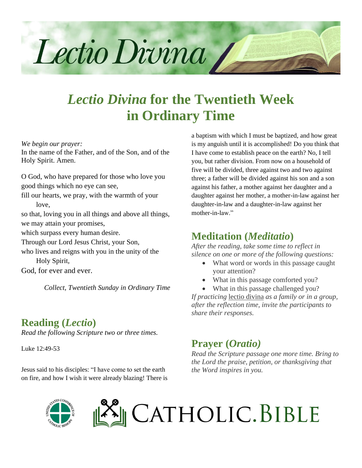

# *Lectio Divina* **for the Twentieth Week in Ordinary Time**

*We begin our prayer:*

In the name of the Father, and of the Son, and of the Holy Spirit. Amen.

O God, who have prepared for those who love you good things which no eye can see,

fill our hearts, we pray, with the warmth of your love,

so that, loving you in all things and above all things, we may attain your promises,

which surpass every human desire.

Through our Lord Jesus Christ, your Son,

who lives and reigns with you in the unity of the Holy Spirit,

God, for ever and ever.

*Collect, Twentieth Sunday in Ordinary Time*

### **Reading (***Lectio***)**

*Read the following Scripture two or three times.*

Luke 12:49-53

Jesus said to his disciples: "I have come to set the earth on fire, and how I wish it were already blazing! There is a baptism with which I must be baptized, and how great is my anguish until it is accomplished! Do you think that I have come to establish peace on the earth? No, I tell you, but rather division. From now on a household of five will be divided, three against two and two against three; a father will be divided against his son and a son against his father, a mother against her daughter and a daughter against her mother, a mother-in-law against her daughter-in-law and a daughter-in-law against her mother-in-law."

### **Meditation (***Meditatio***)**

*After the reading, take some time to reflect in silence on one or more of the following questions:*

- What word or words in this passage caught your attention?
- What in this passage comforted you?
- What in this passage challenged you?

*If practicing* lectio divina *as a family or in a group, after the reflection time, invite the participants to share their responses.*

### **Prayer (***Oratio)*

*Read the Scripture passage one more time. Bring to the Lord the praise, petition, or thanksgiving that the Word inspires in you.*